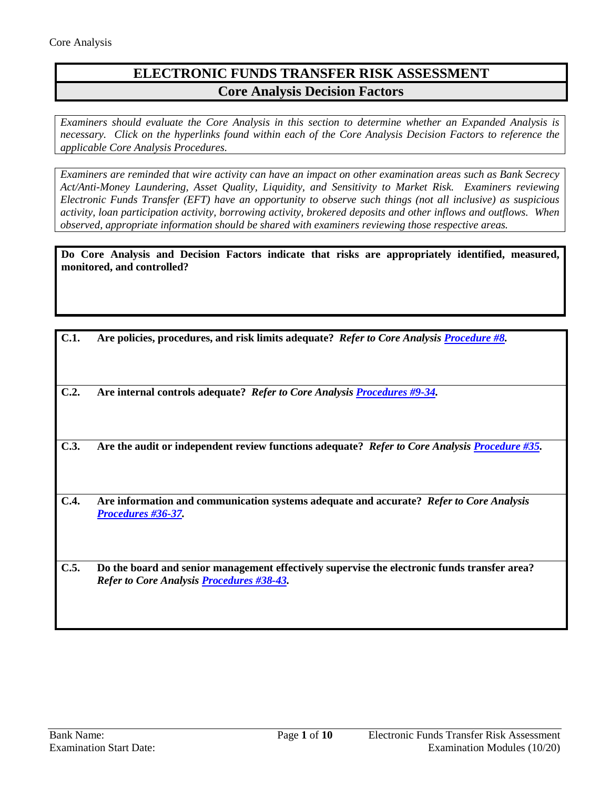## **ELECTRONIC FUNDS TRANSFER RISK ASSESSMENT Core Analysis Decision Factors**

*Examiners should evaluate the Core Analysis in this section to determine whether an Expanded Analysis is necessary. Click on the hyperlinks found within each of the Core Analysis Decision Factors to reference the applicable Core Analysis Procedures.*

*Examiners are reminded that wire activity can have an impact on other examination areas such as Bank Secrecy Act/Anti-Money Laundering, Asset Quality, Liquidity, and Sensitivity to Market Risk. Examiners reviewing Electronic Funds Transfer (EFT) have an opportunity to observe such things (not all inclusive) as suspicious activity, loan participation activity, borrowing activity, brokered deposits and other inflows and outflows. When observed, appropriate information should be shared with examiners reviewing those respective areas.*

**Do Core Analysis and Decision Factors indicate that risks are appropriately identified, measured, monitored, and controlled?**

| C.1. | Are policies, procedures, and risk limits adequate? Refer to Core Analysis Procedure #8.                                                         |
|------|--------------------------------------------------------------------------------------------------------------------------------------------------|
| C.2. | Are internal controls adequate? Refer to Core Analysis Procedures #9-34.                                                                         |
| C.3. | Are the audit or independent review functions adequate? Refer to Core Analysis Procedure #35.                                                    |
| C.4. | Are information and communication systems adequate and accurate? Refer to Core Analysis<br>Procedures #36-37.                                    |
| C.5. | Do the board and senior management effectively supervise the electronic funds transfer area?<br><b>Refer to Core Analysis Procedures #38-43.</b> |
|      |                                                                                                                                                  |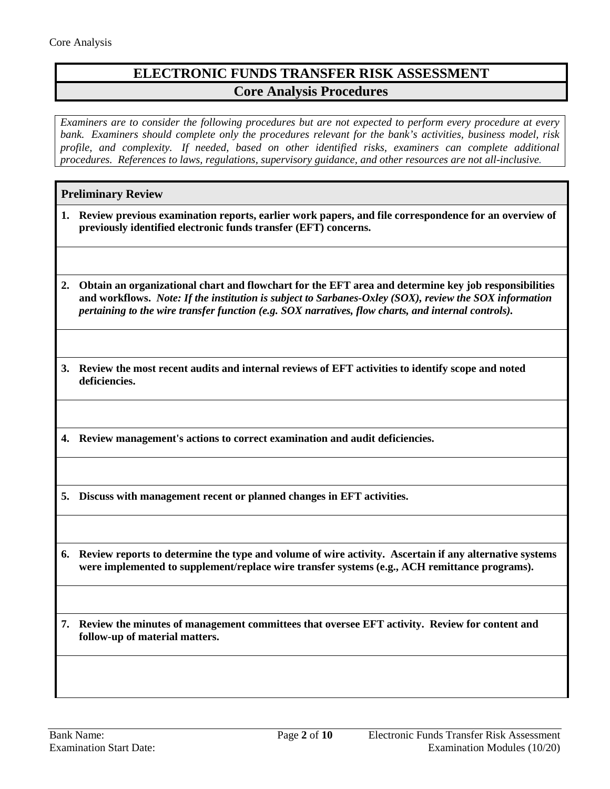# **ELECTRONIC FUNDS TRANSFER RISK ASSESSMENT Core Analysis Procedures**

*Examiners are to consider the following procedures but are not expected to perform every procedure at every bank. Examiners should complete only the procedures relevant for the bank's activities, business model, risk profile, and complexity. If needed, based on other identified risks, examiners can complete additional procedures. References to laws, regulations, supervisory guidance, and other resources are not all-inclusive.*

## **Preliminary Review**

- **1. Review previous examination reports, earlier work papers, and file correspondence for an overview of previously identified electronic funds transfer (EFT) concerns.**
- **2. Obtain an organizational chart and flowchart for the EFT area and determine key job responsibilities and workflows.** *Note: If the institution is subject to Sarbanes-Oxley (SOX), review the SOX information pertaining to the wire transfer function (e.g. SOX narratives, flow charts, and internal controls).*
- **3. Review the most recent audits and internal reviews of EFT activities to identify scope and noted deficiencies.**
- **4. Review management's actions to correct examination and audit deficiencies.**

**5. Discuss with management recent or planned changes in EFT activities.**

**6. Review reports to determine the type and volume of wire activity. Ascertain if any alternative systems were implemented to supplement/replace wire transfer systems (e.g., ACH remittance programs).**

**7. Review the minutes of management committees that oversee EFT activity. Review for content and follow-up of material matters.**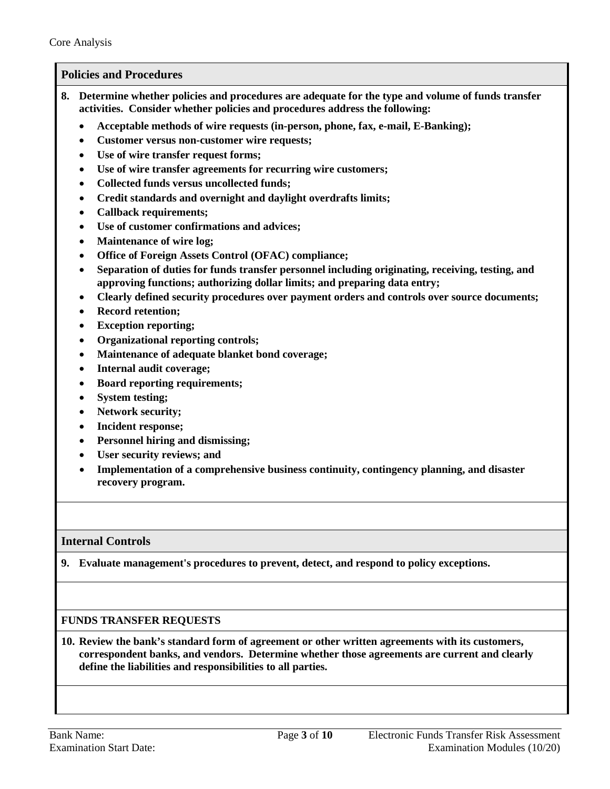## <span id="page-2-0"></span>**Policies and Procedures**

- **8. Determine whether policies and procedures are adequate for the type and volume of funds transfer activities. Consider whether policies and procedures address the following:**
	- **Acceptable methods of wire requests (in-person, phone, fax, e-mail, E-Banking);**
	- **Customer versus non-customer wire requests;**
	- **Use of wire transfer request forms;**
	- **Use of wire transfer agreements for recurring wire customers;**
	- **Collected funds versus uncollected funds;**
	- **Credit standards and overnight and daylight overdrafts limits;**
	- **Callback requirements;**
	- **Use of customer confirmations and advices;**
	- **Maintenance of wire log;**
	- **Office of Foreign Assets Control (OFAC) compliance;**
	- **Separation of duties for funds transfer personnel including originating, receiving, testing, and approving functions; authorizing dollar limits; and preparing data entry;**
	- **Clearly defined security procedures over payment orders and controls over source documents;**
	- **Record retention;**
	- **Exception reporting;**
	- **Organizational reporting controls;**
	- **Maintenance of adequate blanket bond coverage;**
	- **Internal audit coverage;**
	- **Board reporting requirements;**
	- **System testing;**
	- **Network security;**
	- **Incident response;**
	- **Personnel hiring and dismissing;**
	- **User security reviews; and**
	- **Implementation of a comprehensive business continuity, contingency planning, and disaster recovery program.**

#### <span id="page-2-1"></span>**Internal Controls**

**9. Evaluate management's procedures to prevent, detect, and respond to policy exceptions.**

#### **FUNDS TRANSFER REQUESTS**

**10. Review the bank's standard form of agreement or other written agreements with its customers, correspondent banks, and vendors. Determine whether those agreements are current and clearly define the liabilities and responsibilities to all parties.**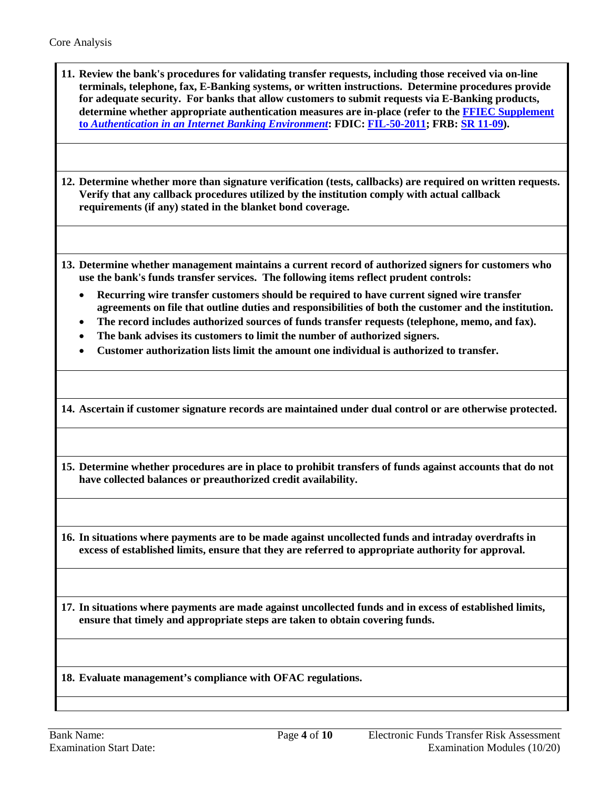| 11. Review the bank's procedures for validating transfer requests, including those received via on-line<br>terminals, telephone, fax, E-Banking systems, or written instructions. Determine procedures provide<br>for adequate security. For banks that allow customers to submit requests via E-Banking products,                                                                                         |
|------------------------------------------------------------------------------------------------------------------------------------------------------------------------------------------------------------------------------------------------------------------------------------------------------------------------------------------------------------------------------------------------------------|
| determine whether appropriate authentication measures are in-place (refer to the FFIEC Supplement<br>to Authentication in an Internet Banking Environment: FDIC: FIL-50-2011; FRB: SR 11-09).                                                                                                                                                                                                              |
|                                                                                                                                                                                                                                                                                                                                                                                                            |
| 12. Determine whether more than signature verification (tests, callbacks) are required on written requests.<br>Verify that any callback procedures utilized by the institution comply with actual callback<br>requirements (if any) stated in the blanket bond coverage.                                                                                                                                   |
|                                                                                                                                                                                                                                                                                                                                                                                                            |
| 13. Determine whether management maintains a current record of authorized signers for customers who<br>use the bank's funds transfer services. The following items reflect prudent controls:                                                                                                                                                                                                               |
| Recurring wire transfer customers should be required to have current signed wire transfer<br>$\bullet$<br>agreements on file that outline duties and responsibilities of both the customer and the institution.<br>The record includes authorized sources of funds transfer requests (telephone, memo, and fax).<br>$\bullet$<br>The bank advises its customers to limit the number of authorized signers. |
| Customer authorization lists limit the amount one individual is authorized to transfer.                                                                                                                                                                                                                                                                                                                    |
| 14. Ascertain if customer signature records are maintained under dual control or are otherwise protected.                                                                                                                                                                                                                                                                                                  |
| 15. Determine whether procedures are in place to prohibit transfers of funds against accounts that do not<br>have collected balances or preauthorized credit availability.                                                                                                                                                                                                                                 |
|                                                                                                                                                                                                                                                                                                                                                                                                            |
| 16. In situations where payments are to be made against uncollected funds and intraday overdrafts in<br>excess of established limits, ensure that they are referred to appropriate authority for approval.                                                                                                                                                                                                 |
|                                                                                                                                                                                                                                                                                                                                                                                                            |
| 17. In situations where payments are made against uncollected funds and in excess of established limits,<br>ensure that timely and appropriate steps are taken to obtain covering funds.                                                                                                                                                                                                                   |
|                                                                                                                                                                                                                                                                                                                                                                                                            |
| 18. Evaluate management's compliance with OFAC regulations.                                                                                                                                                                                                                                                                                                                                                |
|                                                                                                                                                                                                                                                                                                                                                                                                            |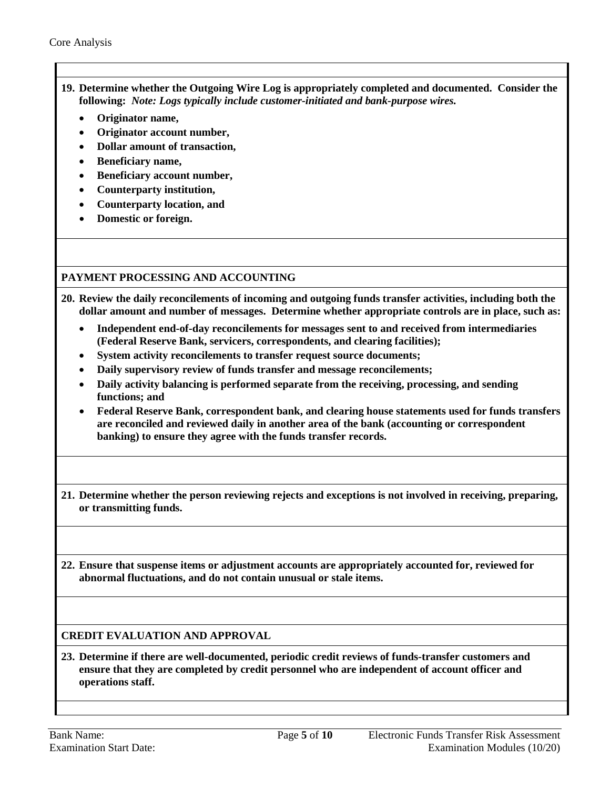- **19. Determine whether the Outgoing Wire Log is appropriately completed and documented. Consider the following:** *Note: Logs typically include customer-initiated and bank-purpose wires.*
	- **Originator name,**
	- **Originator account number,**
	- **Dollar amount of transaction,**
	- **Beneficiary name,**
	- **Beneficiary account number,**
	- **Counterparty institution,**
	- **Counterparty location, and**
	- **Domestic or foreign.**

## **PAYMENT PROCESSING AND ACCOUNTING**

- **20. Review the daily reconcilements of incoming and outgoing funds transfer activities, including both the dollar amount and number of messages. Determine whether appropriate controls are in place, such as:**
	- **Independent end-of-day reconcilements for messages sent to and received from intermediaries (Federal Reserve Bank, servicers, correspondents, and clearing facilities);**
	- **System activity reconcilements to transfer request source documents;**
	- **Daily supervisory review of funds transfer and message reconcilements;**
	- **Daily activity balancing is performed separate from the receiving, processing, and sending functions; and**
	- **Federal Reserve Bank, correspondent bank, and clearing house statements used for funds transfers are reconciled and reviewed daily in another area of the bank (accounting or correspondent banking) to ensure they agree with the funds transfer records.**
- **21. Determine whether the person reviewing rejects and exceptions is not involved in receiving, preparing, or transmitting funds.**

**22. Ensure that suspense items or adjustment accounts are appropriately accounted for, reviewed for abnormal fluctuations, and do not contain unusual or stale items.**

## **CREDIT EVALUATION AND APPROVAL**

**23. Determine if there are well-documented, periodic credit reviews of funds-transfer customers and ensure that they are completed by credit personnel who are independent of account officer and operations staff.**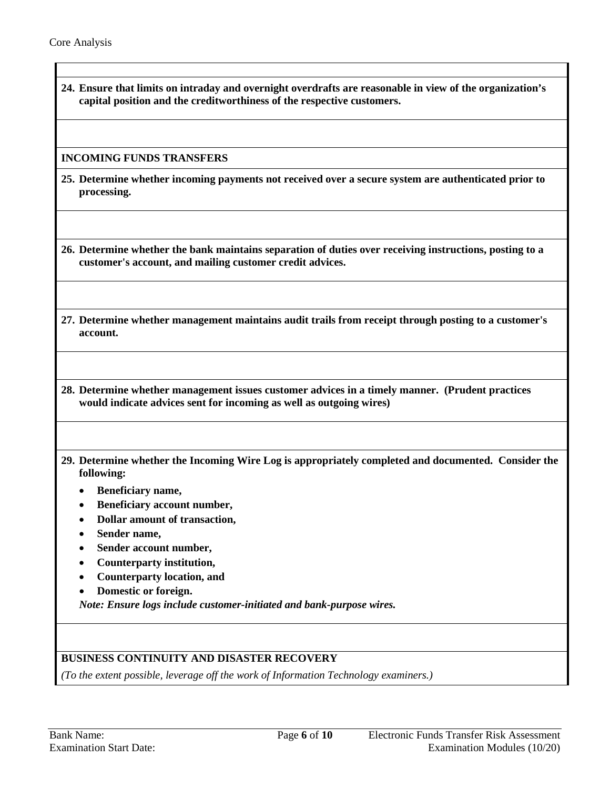$\mathbf{I}$ 

| 24. Ensure that limits on intraday and overnight overdrafts are reasonable in view of the organization's<br>capital position and the creditworthiness of the respective customers. |
|------------------------------------------------------------------------------------------------------------------------------------------------------------------------------------|
| <b>INCOMING FUNDS TRANSFERS</b>                                                                                                                                                    |
| 25. Determine whether incoming payments not received over a secure system are authenticated prior to<br>processing.                                                                |
| 26. Determine whether the bank maintains separation of duties over receiving instructions, posting to a<br>customer's account, and mailing customer credit advices.                |
| 27. Determine whether management maintains audit trails from receipt through posting to a customer's<br>account.                                                                   |
|                                                                                                                                                                                    |
| 28. Determine whether management issues customer advices in a timely manner. (Prudent practices<br>would indicate advices sent for incoming as well as outgoing wires)             |
| 29. Determine whether the Incoming Wire Log is appropriately completed and documented. Consider the<br>following:                                                                  |
| Beneficiary name,                                                                                                                                                                  |
| Beneficiary account number,                                                                                                                                                        |
| Dollar amount of transaction,                                                                                                                                                      |
| Sender name,                                                                                                                                                                       |
| Sender account number,                                                                                                                                                             |
| Counterparty institution,                                                                                                                                                          |
| <b>Counterparty location, and</b>                                                                                                                                                  |
| Domestic or foreign.<br>Note: Ensure logs include customer-initiated and bank-purpose wires.                                                                                       |

*(To the extent possible, leverage off the work of Information Technology examiners.)*

1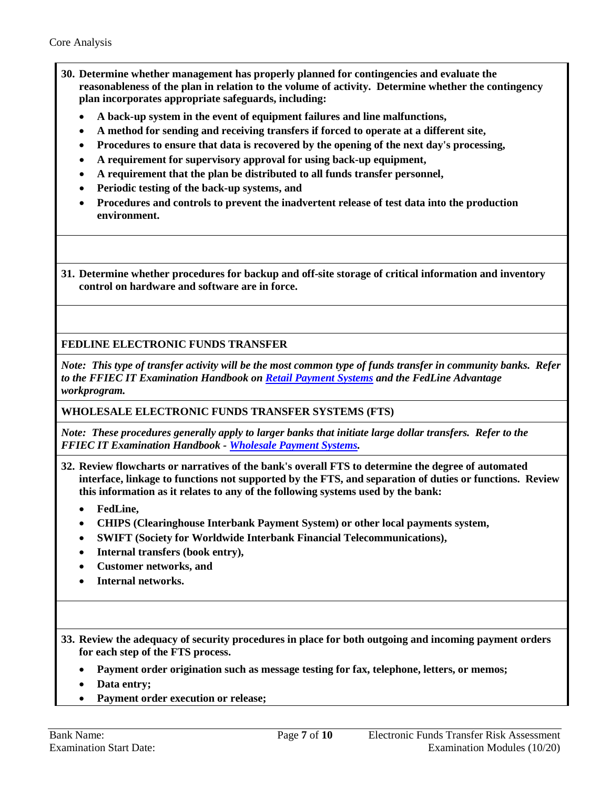- **30. Determine whether management has properly planned for contingencies and evaluate the reasonableness of the plan in relation to the volume of activity. Determine whether the contingency plan incorporates appropriate safeguards, including:**
	- **A back-up system in the event of equipment failures and line malfunctions,**
	- **A method for sending and receiving transfers if forced to operate at a different site,**
	- **Procedures to ensure that data is recovered by the opening of the next day's processing,**
	- **A requirement for supervisory approval for using back-up equipment,**
	- **A requirement that the plan be distributed to all funds transfer personnel,**
	- **Periodic testing of the back-up systems, and**
	- **Procedures and controls to prevent the inadvertent release of test data into the production environment.**

**31. Determine whether procedures for backup and off-site storage of critical information and inventory control on hardware and software are in force.**

**FEDLINE ELECTRONIC FUNDS TRANSFER** 

*Note: This type of transfer activity will be the most common type of funds transfer in community banks. Refer to the FFIEC IT Examination Handbook on [Retail Payment Systems](http://ithandbook.ffiec.gov/it-booklets.aspx) and the FedLine Advantage workprogram.* 

**WHOLESALE ELECTRONIC FUNDS TRANSFER SYSTEMS (FTS)**

*Note: These procedures generally apply to larger banks that initiate large dollar transfers. Refer to the FFIEC IT Examination Handbook - [Wholesale Payment Systems.](http://ithandbook.ffiec.gov/it-booklets.aspx)* 

- **32. Review flowcharts or narratives of the bank's overall FTS to determine the degree of automated interface, linkage to functions not supported by the FTS, and separation of duties or functions. Review this information as it relates to any of the following systems used by the bank:**
	- **FedLine,**
	- **CHIPS (Clearinghouse Interbank Payment System) or other local payments system,**
	- **SWIFT (Society for Worldwide Interbank Financial Telecommunications),**
	- **Internal transfers (book entry),**
	- **Customer networks, and**
	- **Internal networks.**

**33. Review the adequacy of security procedures in place for both outgoing and incoming payment orders for each step of the FTS process.**

• **Payment order origination such as message testing for fax, telephone, letters, or memos;** 

- **Data entry;**
- **Payment order execution or release;**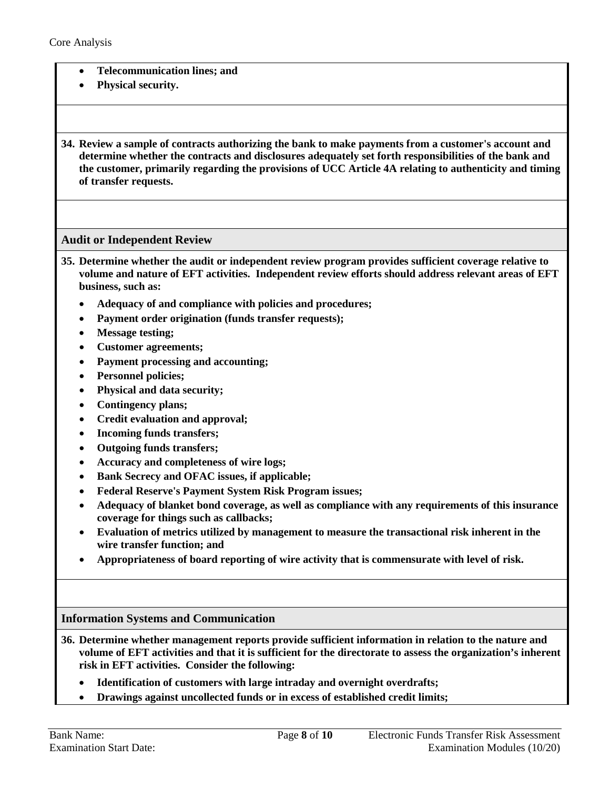- **Telecommunication lines; and**
- **Physical security.**

**34. Review a sample of contracts authorizing the bank to make payments from a customer's account and determine whether the contracts and disclosures adequately set forth responsibilities of the bank and the customer, primarily regarding the provisions of UCC Article 4A relating to authenticity and timing of transfer requests.**

### <span id="page-7-0"></span>**Audit or Independent Review**

- **35. Determine whether the audit or independent review program provides sufficient coverage relative to volume and nature of EFT activities. Independent review efforts should address relevant areas of EFT business, such as:**
	- **Adequacy of and compliance with policies and procedures;**
	- **Payment order origination (funds transfer requests);**
	- **Message testing;**
	- **Customer agreements;**
	- **Payment processing and accounting;**
	- **Personnel policies;**
	- **Physical and data security;**
	- **Contingency plans;**
	- **Credit evaluation and approval;**
	- **Incoming funds transfers;**
	- **Outgoing funds transfers;**
	- **Accuracy and completeness of wire logs;**
	- **Bank Secrecy and OFAC issues, if applicable;**
	- **Federal Reserve's Payment System Risk Program issues;**
	- **Adequacy of blanket bond coverage, as well as compliance with any requirements of this insurance coverage for things such as callbacks;**
	- **Evaluation of metrics utilized by management to measure the transactional risk inherent in the wire transfer function; and**
	- **Appropriateness of board reporting of wire activity that is commensurate with level of risk.**

#### <span id="page-7-1"></span>**Information Systems and Communication**

- **36. Determine whether management reports provide sufficient information in relation to the nature and volume of EFT activities and that it is sufficient for the directorate to assess the organization's inherent risk in EFT activities. Consider the following:**
	- **Identification of customers with large intraday and overnight overdrafts;**
	- **Drawings against uncollected funds or in excess of established credit limits;**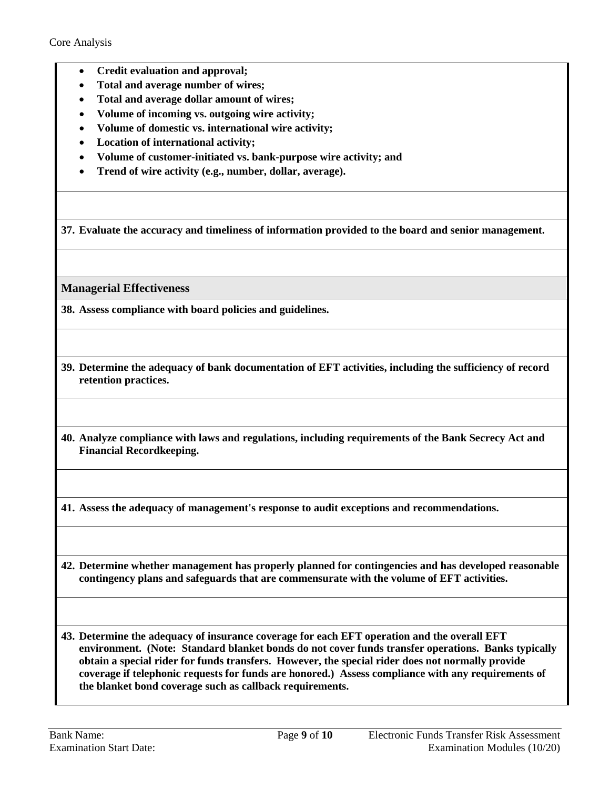- **Credit evaluation and approval;**
- **Total and average number of wires;**
- **Total and average dollar amount of wires;**
- **Volume of incoming vs. outgoing wire activity;**
- **Volume of domestic vs. international wire activity;**
- **Location of international activity;**
- **Volume of customer-initiated vs. bank-purpose wire activity; and**
- **Trend of wire activity (e.g., number, dollar, average).**

**37. Evaluate the accuracy and timeliness of information provided to the board and senior management.**

<span id="page-8-0"></span>**Managerial Effectiveness**

**38. Assess compliance with board policies and guidelines.**

**39. Determine the adequacy of bank documentation of EFT activities, including the sufficiency of record retention practices.**

**40. Analyze compliance with laws and regulations, including requirements of the Bank Secrecy Act and Financial Recordkeeping.**

**41. Assess the adequacy of management's response to audit exceptions and recommendations.**

**42. Determine whether management has properly planned for contingencies and has developed reasonable contingency plans and safeguards that are commensurate with the volume of EFT activities.**

**43. Determine the adequacy of insurance coverage for each EFT operation and the overall EFT environment. (Note: Standard blanket bonds do not cover funds transfer operations. Banks typically obtain a special rider for funds transfers. However, the special rider does not normally provide coverage if telephonic requests for funds are honored.) Assess compliance with any requirements of the blanket bond coverage such as callback requirements.**